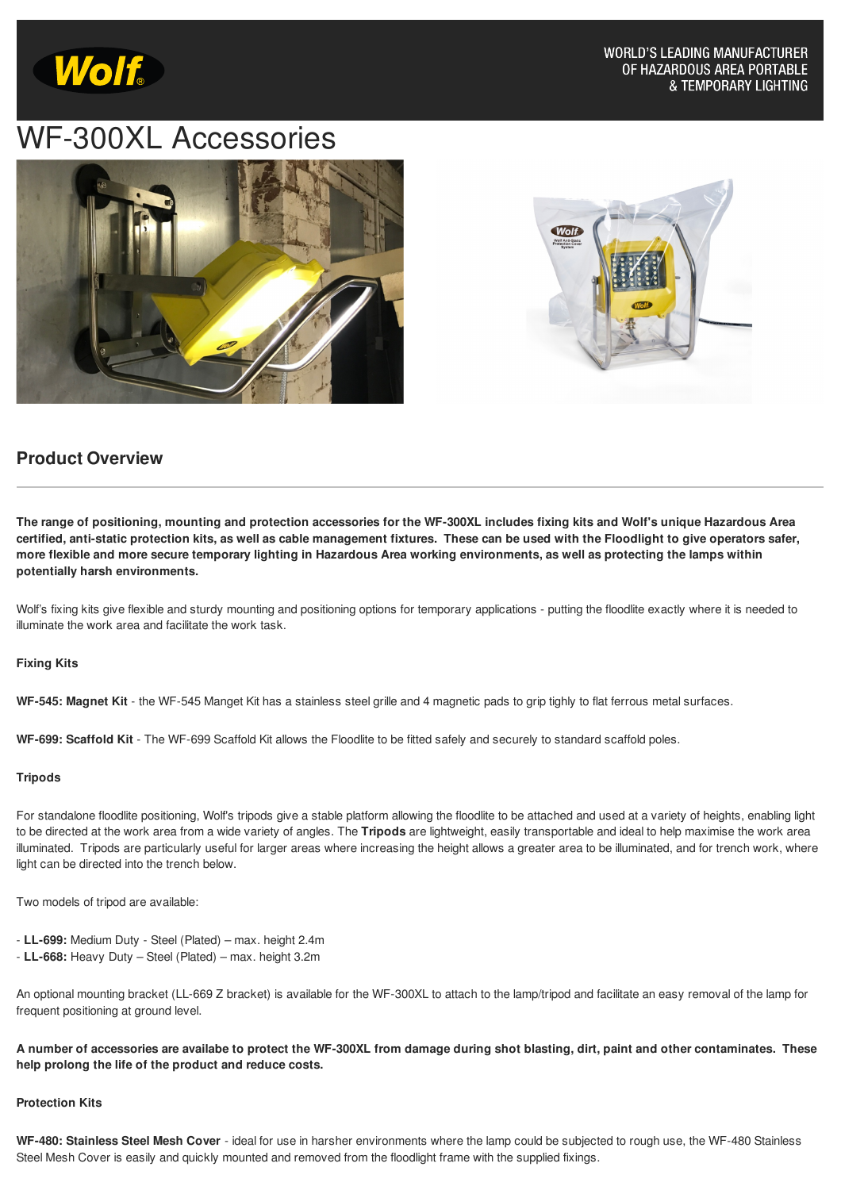

# WF-300XL Accessories





### **Product Overview**

The range of positioning, mounting and protection accessories for the WF-300XL includes fixing kits and Wolf's unique Hazardous Area certified, anti-static protection kits, as well as cable management fixtures. These can be used with the Floodlight to give operators safer, more flexible and more secure temporary lighting in Hazardous Area working environments, as well as protecting the lamps within **potentially harsh environments.**

Wolf's fixing kits give flexible and sturdy mounting and positioning options for temporary applications - putting the floodlite exactly where it is needed to illuminate the work area and facilitate the work task.

#### **Fixing Kits**

**WF-545: Magnet Kit** - the WF-545 Manget Kit has a stainless steel grille and 4 magnetic pads to grip tighly to flat ferrous metal surfaces.

**WF-699: Scaffold Kit** - The WF-699 Scaffold Kit allows the Floodlite to be fitted safely and securely to standard scaffold poles.

#### **Tripods**

For standalone floodlite positioning, Wolf's tripods give a stable platform allowing the floodlite to be attached and used at a variety of heights, enabling light to be directed at the work area from a wide variety of angles. The **[Tripods](http://www.wolf-safety.co.uk/accessories/tripod-stands)** are lightweight, easily transportable and ideal to help maximise the work area illuminated. Tripods are particularly useful for larger areas where increasing the height allows a greater area to be illuminated, and for trench work, where light can be directed into the trench below.

Two models of tripod are available:

- **LL-699:** Medium Duty Steel (Plated) max. height 2.4m
- **LL-668:** Heavy Duty Steel (Plated) max. height 3.2m

An optional mounting bracket (LL-669 Z bracket) is available for the WF-300XL to attach to the lamp/tripod and facilitate an easy removal of the lamp for frequent positioning at ground level.

A number of accessories are availabe to protect the WF-300XL from damage during shot blasting, dirt, paint and other contaminates. These **help prolong the life of the product and reduce costs.**

#### **Protection Kits**

**WF-480: Stainless Steel Mesh Cover** - ideal for use in harsher environments where the lamp could be subjected to rough use, the WF-480 Stainless Steel Mesh Cover is easily and quickly mounted and removed from the floodlight frame with the supplied fixings.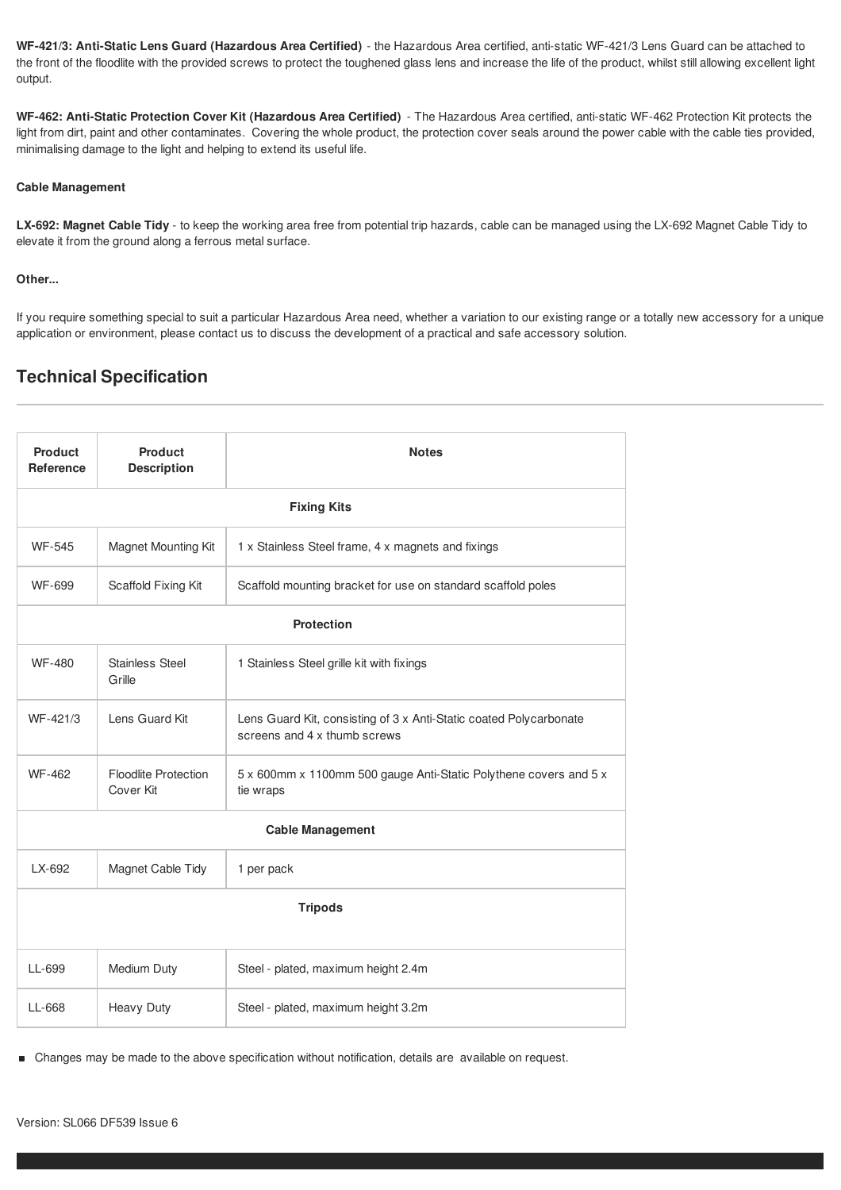**WF-421/3: Anti-Static Lens Guard (Hazardous Area Certified)** - the Hazardous Area certified, anti-static WF-421/3 Lens Guard can be attached to the front of the floodlite with the provided screws to protect the toughened glass lens and increase the life of the product, whilst still allowing excellent light output.

**WF-462: Anti-Static Protection Cover Kit (Hazardous Area Certified)** - The Hazardous Area certified, anti-static WF-462 Protection Kit protects the light from dirt, paint and other contaminates. Covering the whole product, the protection cover seals around the power cable with the cable ties provided, minimalising damage to the light and helping to extend its useful life.

#### **Cable Management**

**LX-692: Magnet Cable Tidy** - to keep the working area free from potential trip hazards, cable can be managed using the LX-692 Magnet Cable Tidy to elevate it from the ground along a ferrous metal surface.

#### **Other...**

If you require something special to suit a particular Hazardous Area need, whether a variation to our existing range or a totally new accessory for a unique application or environment, please contact us to discuss the development of a practical and safe accessory solution.

## **Technical Specification**

| <b>Product</b><br>Reference | <b>Product</b><br><b>Description</b>     | <b>Notes</b>                                                                                       |
|-----------------------------|------------------------------------------|----------------------------------------------------------------------------------------------------|
| <b>Fixing Kits</b>          |                                          |                                                                                                    |
| <b>WF-545</b>               | <b>Magnet Mounting Kit</b>               | 1 x Stainless Steel frame, 4 x magnets and fixings                                                 |
| <b>WF-699</b>               | Scaffold Fixing Kit                      | Scaffold mounting bracket for use on standard scaffold poles                                       |
| <b>Protection</b>           |                                          |                                                                                                    |
| <b>WF-480</b>               | <b>Stainless Steel</b><br>Grille         | 1 Stainless Steel grille kit with fixings                                                          |
| WF-421/3                    | Lens Guard Kit                           | Lens Guard Kit, consisting of 3 x Anti-Static coated Polycarbonate<br>screens and 4 x thumb screws |
| <b>WF-462</b>               | <b>Floodlite Protection</b><br>Cover Kit | 5 x 600mm x 1100mm 500 gauge Anti-Static Polythene covers and 5 x<br>tie wraps                     |
| <b>Cable Management</b>     |                                          |                                                                                                    |
| LX-692                      | Magnet Cable Tidy                        | 1 per pack                                                                                         |
| <b>Tripods</b>              |                                          |                                                                                                    |
| LL-699                      | Medium Duty                              | Steel - plated, maximum height 2.4m                                                                |
| LL-668                      | <b>Heavy Duty</b>                        | Steel - plated, maximum height 3.2m                                                                |

Changes may be made to the above specification without notification, details are available on request.